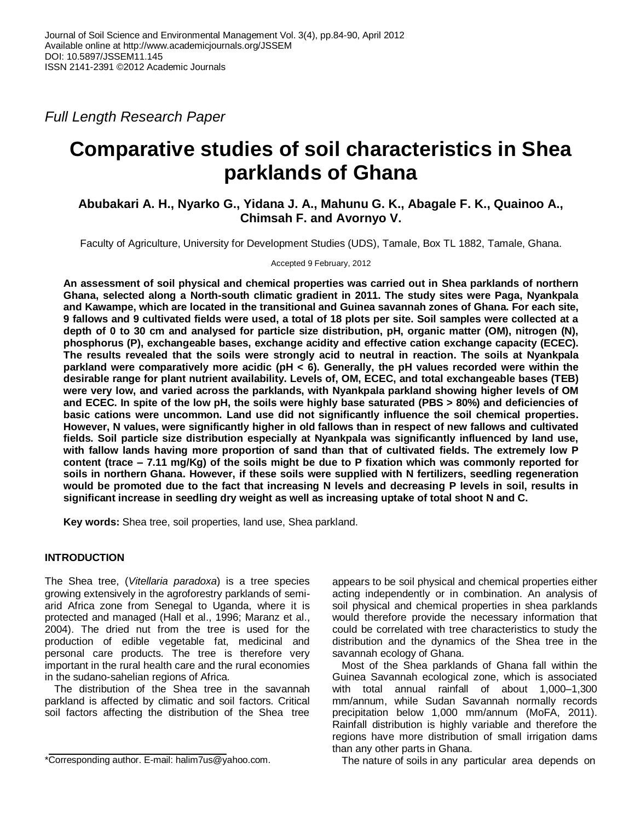*Full Length Research Paper*

# **Comparative studies of soil characteristics in Shea parklands of Ghana**

# **Abubakari A. H., Nyarko G., Yidana J. A., Mahunu G. K., Abagale F. K., Quainoo A., Chimsah F. and Avornyo V.**

Faculty of Agriculture, University for Development Studies (UDS), Tamale, Box TL 1882, Tamale, Ghana.

Accepted 9 February, 2012

**An assessment of soil physical and chemical properties was carried out in Shea parklands of northern Ghana, selected along a North-south climatic gradient in 2011. The study sites were Paga, Nyankpala and Kawampe, which are located in the transitional and Guinea savannah zones of Ghana. For each site, 9 fallows and 9 cultivated fields were used, a total of 18 plots per site. Soil samples were collected at a depth of 0 to 30 cm and analysed for particle size distribution, pH, organic matter (OM), nitrogen (N), phosphorus (P), exchangeable bases, exchange acidity and effective cation exchange capacity (ECEC). The results revealed that the soils were strongly acid to neutral in reaction. The soils at Nyankpala parkland were comparatively more acidic (pH < 6). Generally, the pH values recorded were within the desirable range for plant nutrient availability. Levels of, OM, ECEC, and total exchangeable bases (TEB) were very low, and varied across the parklands, with Nyankpala parkland showing higher levels of OM and ECEC. In spite of the low pH, the soils were highly base saturated (PBS > 80%) and deficiencies of basic cations were uncommon. Land use did not significantly influence the soil chemical properties. However, N values, were significantly higher in old fallows than in respect of new fallows and cultivated fields. Soil particle size distribution especially at Nyankpala was significantly influenced by land use, with fallow lands having more proportion of sand than that of cultivated fields. The extremely low P content (trace – 7.11 mg/Kg) of the soils might be due to P fixation which was commonly reported for soils in northern Ghana. However, if these soils were supplied with N fertilizers, seedling regeneration would be promoted due to the fact that increasing N levels and decreasing P levels in soil, results in significant increase in seedling dry weight as well as increasing uptake of total shoot N and C.**

**Key words:** Shea tree, soil properties, land use, Shea parkland.

# **INTRODUCTION**

The Shea tree, (*Vitellaria paradoxa*) is a tree species growing extensively in the agroforestry parklands of semiarid Africa zone from Senegal to Uganda, where it is protected and managed (Hall et al., 1996; Maranz et al., 2004). The dried nut from the tree is used for the production of edible vegetable fat, medicinal and personal care products. The tree is therefore very important in the rural health care and the rural economies in the sudano-sahelian regions of Africa.

The distribution of the Shea tree in the savannah parkland is affected by climatic and soil factors. Critical soil factors affecting the distribution of the Shea tree appears to be soil physical and chemical properties either acting independently or in combination. An analysis of soil physical and chemical properties in shea parklands would therefore provide the necessary information that could be correlated with tree characteristics to study the distribution and the dynamics of the Shea tree in the savannah ecology of Ghana.

Most of the Shea parklands of Ghana fall within the Guinea Savannah ecological zone, which is associated with total annual rainfall of about 1,000–1,300 mm/annum, while Sudan Savannah normally records precipitation below 1,000 mm/annum (MoFA, 2011). Rainfall distribution is highly variable and therefore the regions have more distribution of small irrigation dams than any other parts in Ghana.

The nature of soils in any particular area depends on

<sup>\*</sup>Corresponding author. E-mail: halim7us@yahoo.com.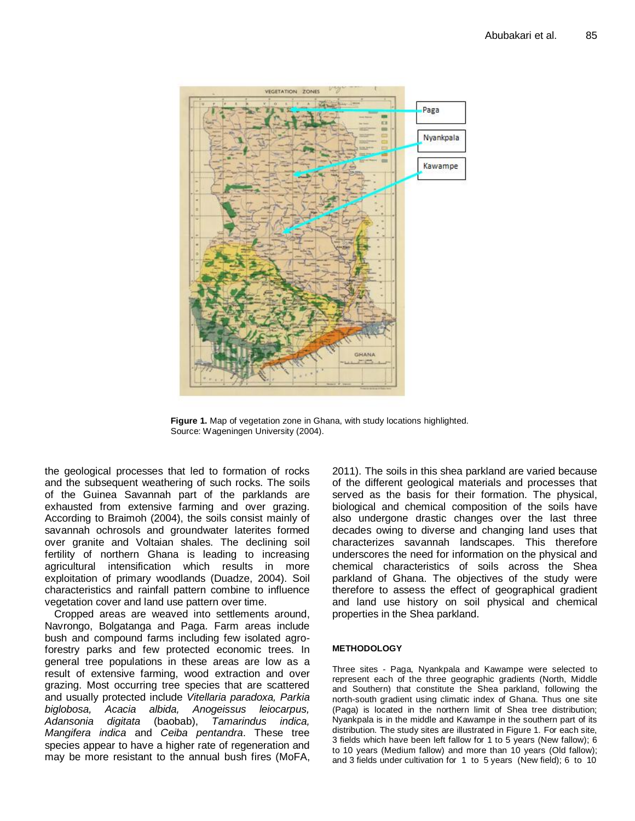

**Figure 1.** Map of vegetation zone in Ghana, with study locations highlighted. Source: Wageningen University (2004).

the geological processes that led to formation of rocks and the subsequent weathering of such rocks. The soils of the Guinea Savannah part of the parklands are exhausted from extensive farming and over grazing. According to Braimoh (2004), the soils consist mainly of savannah ochrosols and groundwater laterites formed over granite and Voltaian shales. The declining soil fertility of northern Ghana is leading to increasing agricultural intensification which results in more exploitation of primary woodlands (Duadze, 2004). Soil characteristics and rainfall pattern combine to influence vegetation cover and land use pattern over time.

Cropped areas are weaved into settlements around, Navrongo, Bolgatanga and Paga. Farm areas include bush and compound farms including few isolated agroforestry parks and few protected economic trees. In general tree populations in these areas are low as a result of extensive farming, wood extraction and over grazing. Most occurring tree species that are scattered and usually protected include *Vitellaria paradoxa, Parkia biglobosa, Acacia albida, Anogeissus leiocarpus, Adansonia digitata* (baobab), *Tamarindus indica, Mangifera indica* and *Ceiba pentandra*. These tree species appear to have a higher rate of regeneration and may be more resistant to the annual bush fires (MoFA,

2011). The soils in this shea parkland are varied because of the different geological materials and processes that served as the basis for their formation. The physical, biological and chemical composition of the soils have also undergone drastic changes over the last three decades owing to diverse and changing land uses that characterizes savannah landscapes. This therefore underscores the need for information on the physical and chemical characteristics of soils across the Shea parkland of Ghana. The objectives of the study were therefore to assess the effect of geographical gradient and land use history on soil physical and chemical properties in the Shea parkland.

## **METHODOLOGY**

Three sites - Paga, Nyankpala and Kawampe were selected to represent each of the three geographic gradients (North, Middle and Southern) that constitute the Shea parkland, following the north-south gradient using climatic index of Ghana. Thus one site (Paga) is located in the northern limit of Shea tree distribution; Nyankpala is in the middle and Kawampe in the southern part of its distribution. The study sites are illustrated in Figure 1. For each site, 3 fields which have been left fallow for 1 to 5 years (New fallow); 6 to 10 years (Medium fallow) and more than 10 years (Old fallow); and 3 fields under cultivation for 1 to 5 years (New field); 6 to 10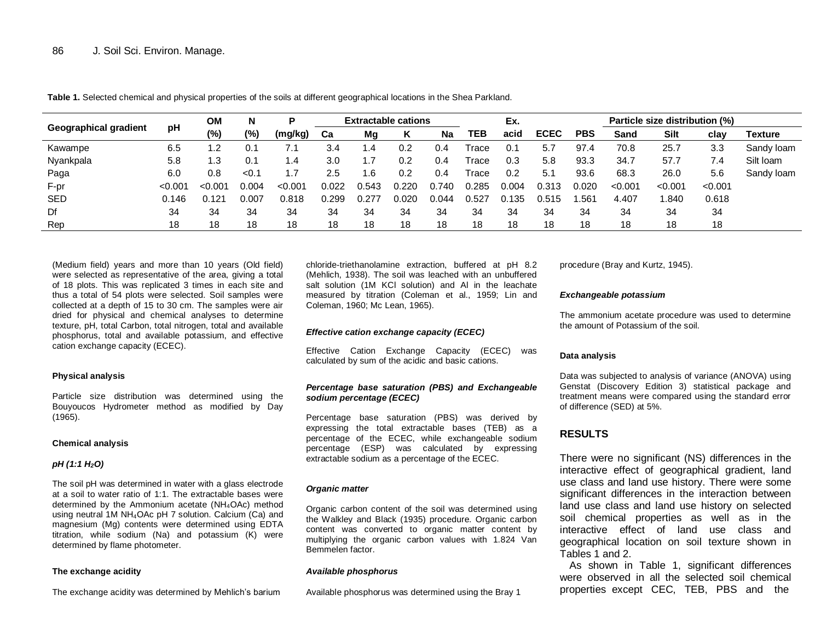|                              | рH     | <b>OM</b>       | N     | o       | <b>Extractable cations</b> |       |       |       | Ex.   |       |             | Particle size distribution (%) |         |             |         |            |
|------------------------------|--------|-----------------|-------|---------|----------------------------|-------|-------|-------|-------|-------|-------------|--------------------------------|---------|-------------|---------|------------|
| <b>Geographical gradient</b> |        | (%)             | (%)   | (mg/kg) | Ca                         | Mg    | Κ     | Na    | TEB   | acid  | <b>ECEC</b> | <b>PBS</b>                     | Sand    | <b>Silt</b> | clav    | Texture    |
| Kawampe                      | 6.5    | - 2             | 0.1   | 7.1     | 3.4                        | 1.4   | 0.2   | 0.4   | Trace | 0.1   | 5.7         | 97.4                           | 70.8    | 25.7        | 3.3     | Sandy loam |
| Nyankpala                    | 5.8    | 1.3             | 0.1   | 1.4     | 3.0                        | ، ،   | 0.2   | 0.4   | Trace | 0.3   | 5.8         | 93.3                           | 34.7    | 57.7        | 7.4     | Silt Ioam  |
| Paga                         | 6.0    | 0.8             | < 0.1 |         | 2.5                        | .6    | 0.2   | 0.4   | Trace | 0.2   | 5.1         | 93.6                           | 68.3    | 26.0        | 5.6     | Sandy loam |
| F-pr                         | < 0.00 | < 0.001         | Ი.ᲘᲘ4 | < 0.00  | 0.022                      | 0.543 | 0.220 | 0.740 | 0.285 | 0.004 | 0.313       | 0.020                          | < 0.001 | < 0.001     | < 0.001 |            |
| SED                          | 0.146  | $0.12^{\prime}$ | 0.007 | 0.818   | 0.299                      | 0.277 | 0.020 | 0.044 | 0.527 | 0.135 | 0.515       | .561                           | 4.407   | .840        | 0.618   |            |
| Df                           | 34     | 34              | 34    | 34      | 34                         | 34    | 34    | 34    | 34    | 34    | 34          | 34                             | 34      | 34          | 34      |            |
| Rep                          | 18     | 18              | 18    | 18      | 18                         | 18    | 18    | 18    | 18    | 18    | 18          | 18                             | 18      | 18          | 18      |            |

**Table 1.** Selected chemical and physical properties of the soils at different geographical locations in the Shea Parkland.

(Medium field) years and more than 10 years (Old field) were selected as representative of the area, giving a total of 18 plots. This was replicated 3 times in each site and thus a total of 54 plots were selected. Soil samples were collected at a depth of 15 to 30 cm. The samples were air dried for physical and chemical analyses to determine texture, pH, total Carbon, total nitrogen, total and available phosphorus, total and available potassium, and effective cation exchange capacity (ECEC).

### **Physical analysis**

Particle size distribution was determined using the Bouyoucos Hydrometer method as modified by Day (1965).

### **Chemical analysis**

## *pH (1:1 H2O)*

The soil pH was determined in water with a glass electrode at a soil to water ratio of 1:1. The extractable bases were determined by the Ammonium acetate (NH4OAc) method using neutral 1M NH<sub>4</sub>OAc pH 7 solution. Calcium (Ca) and magnesium (Mg) contents were determined using EDTA titration, while sodium (Na) and potassium (K) were determined by flame photometer.

### **The exchange acidity**

The exchange acidity was determined by Mehlich's barium

chloride-triethanolamine extraction, buffered at pH 8.2 (Mehlich, 1938). The soil was leached with an unbuffered salt solution (1M KCI solution) and AI in the leachate measured by titration (Coleman et al., 1959; Lin and Coleman, 1960; Mc Lean, 1965).

### *Effective cation exchange capacity (ECEC)*

Effective Cation Exchange Capacity (ECEC) was calculated by sum of the acidic and basic cations.

### *Percentage base saturation (PBS) and Exchangeable sodium percentage (ECEC)*

Percentage base saturation (PBS) was derived by expressing the total extractable bases (TEB) as a percentage of the ECEC, while exchangeable sodium percentage (ESP) was calculated by expressing extractable sodium as a percentage of the ECEC.

## *Organic matter*

Organic carbon content of the soil was determined using the Walkley and Black (1935) procedure. Organic carbon content was converted to organic matter content by multiplying the organic carbon values with 1.824 Van Bemmelen factor.

### *Available phosphorus*

Available phosphorus was determined using the Bray 1

procedure (Bray and Kurtz, 1945).

### *Exchangeable potassium*

The ammonium acetate procedure was used to determine the amount of Potassium of the soil.

## **Data analysis**

Data was subjected to analysis of variance (ANOVA) using Genstat (Discovery Edition 3) statistical package and treatment means were compared using the standard error of difference (SED) at 5%.

# **RESULTS**

There were no significant (NS) differences in the interactive effect of geographical gradient, land use class and land use history. There were some significant differences in the interaction between land use class and land use history on selected soil chemical properties as well as in the interactive effect of land use class and geographical location on soil texture shown in Tables 1 and 2.

As shown in Table 1, significant differences were observed in all the selected soil chemical properties except CEC, TEB, PBS and the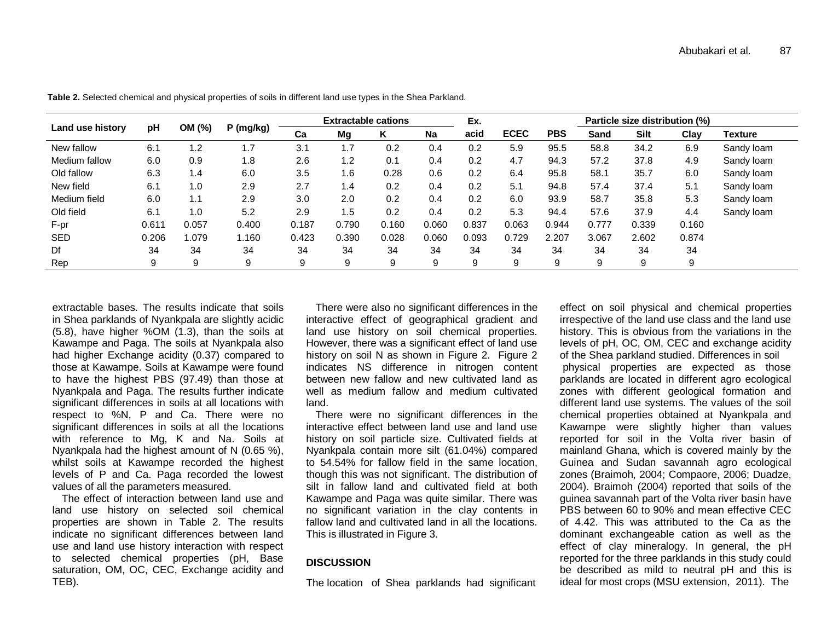| Land use history | pH    | OM (%) | P (mg/kg) |       | <b>Extractable cations</b> |       |           | Ex.   |             |            | Particle size distribution (%) |             |       |            |  |
|------------------|-------|--------|-----------|-------|----------------------------|-------|-----------|-------|-------------|------------|--------------------------------|-------------|-------|------------|--|
|                  |       |        |           | Ca    | Mg                         | ĸ     | <b>Na</b> | acid  | <b>ECEC</b> | <b>PBS</b> | Sand                           | <b>Silt</b> | Clav  | Texture    |  |
| New fallow       | 6.1   | 1.2    | ۱.7       | 3.1   | .7                         | 0.2   | 0.4       | 0.2   | 5.9         | 95.5       | 58.8                           | 34.2        | 6.9   | Sandy loam |  |
| Medium fallow    | 6.0   | 0.9    | 1.8       | 2.6   | 1.2                        | 0.1   | 0.4       | 0.2   | 4.7         | 94.3       | 57.2                           | 37.8        | 4.9   | Sandy loam |  |
| Old fallow       | 6.3   | 1.4    | 6.0       | 3.5   | . 6                        | 0.28  | 0.6       | 0.2   | 6.4         | 95.8       | 58.1                           | 35.7        | 6.0   | Sandy loam |  |
| New field        | 6.1   | 1.0    | 2.9       | 2.7   | 1.4                        | 0.2   | 0.4       | 0.2   | 5.1         | 94.8       | 57.4                           | 37.4        | 5.1   | Sandy loam |  |
| Medium field     | 6.0   | 1.1    | 2.9       | 3.0   | 2.0                        | 0.2   | 0.4       | 0.2   | 6.0         | 93.9       | 58.7                           | 35.8        | 5.3   | Sandy loam |  |
| Old field        | 6.1   | 1.0    | 5.2       | 2.9   | 1.5                        | 0.2   | 0.4       | 0.2   | 5.3         | 94.4       | 57.6                           | 37.9        | 4.4   | Sandy loam |  |
| F-pr             | 0.611 | 0.057  | 0.400     | 0.187 | 0.790                      | 0.160 | 0.060     | 0.837 | 0.063       | 0.944      | 0.777                          | 0.339       | 0.160 |            |  |
| <b>SED</b>       | 0.206 | 1.079  | 1.160     | 0.423 | 0.390                      | 0.028 | 0.060     | 0.093 | 0.729       | 2.207      | 3.067                          | 2.602       | 0.874 |            |  |
| Df               | 34    | 34     | 34        | 34    | 34                         | 34    | 34        | 34    | 34          | 34         | 34                             | 34          | 34    |            |  |
| Rep              | 9     | 9      | 9         | 9     | 9                          | 9     | 9         | 9     | 9           | 9          | 9                              | 9           | 9     |            |  |

**Table 2.** Selected chemical and physical properties of soils in different land use types in the Shea Parkland.

extractable bases. The results indicate that soils in Shea parklands of Nyankpala are slightly acidic (5.8), have higher %OM (1.3), than the soils at Kawampe and Paga. The soils at Nyankpala also had higher Exchange acidity (0.37) compared to those at Kawampe. Soils at Kawampe were found to have the highest PBS (97.49) than those at Nyankpala and Paga. The results further indicate significant differences in soils at all locations with respect to %N, P and Ca. There were no significant differences in soils at all the locations with reference to Mg, K and Na. Soils at Nyankpala had the highest amount of N (0.65 %), whilst soils at Kawampe recorded the highest levels of P and Ca. Paga recorded the lowest values of all the parameters measured.

The effect of interaction between land use and land use history on selected soil chemical properties are shown in Table 2. The results indicate no significant differences between land use and land use history interaction with respect to selected chemical properties (pH, Base saturation, OM, OC, CEC, Exchange acidity and TEB).

There were also no significant differences in the interactive effect of geographical gradient and land use history on soil chemical properties. However, there was a significant effect of land use history on soil N as shown in Figure 2. Figure 2 indicates NS difference in nitrogen content between new fallow and new cultivated land as well as medium fallow and medium cultivated land.

There were no significant differences in the interactive effect between land use and land use history on soil particle size. Cultivated fields at Nyankpala contain more silt (61.04%) compared to 54.54% for fallow field in the same location, though this was not significant. The distribution of silt in fallow land and cultivated field at both Kawampe and Paga was quite similar. There was no significant variation in the clay contents in fallow land and cultivated land in all the locations. This is illustrated in Figure 3.

# **DISCUSSION**

The location of Shea parklands had significant

effect on soil physical and chemical properties irrespective of the land use class and the land use history. This is obvious from the variations in the levels of pH, OC, OM, CEC and exchange acidity of the Shea parkland studied. Differences in soil physical properties are expected as those parklands are located in different agro ecological zones with different geological formation and different land use systems. The values of the soil chemical properties obtained at Nyankpala and Kawampe were slightly higher than values reported for soil in the Volta river basin of mainland Ghana, which is covered mainly by the Guinea and Sudan savannah agro ecological zones (Braimoh, 2004; Compaore, 2006; Duadze, 2004). Braimoh (2004) reported that soils of the guinea savannah part of the Volta river basin have PBS between 60 to 90% and mean effective CEC of 4.42. This was attributed to the Ca as the dominant exchangeable cation as well as the effect of clay mineralogy. In general, the pH reported for the three parklands in this study could be described as mild to neutral pH and this is ideal for most crops (MSU extension, 2011). The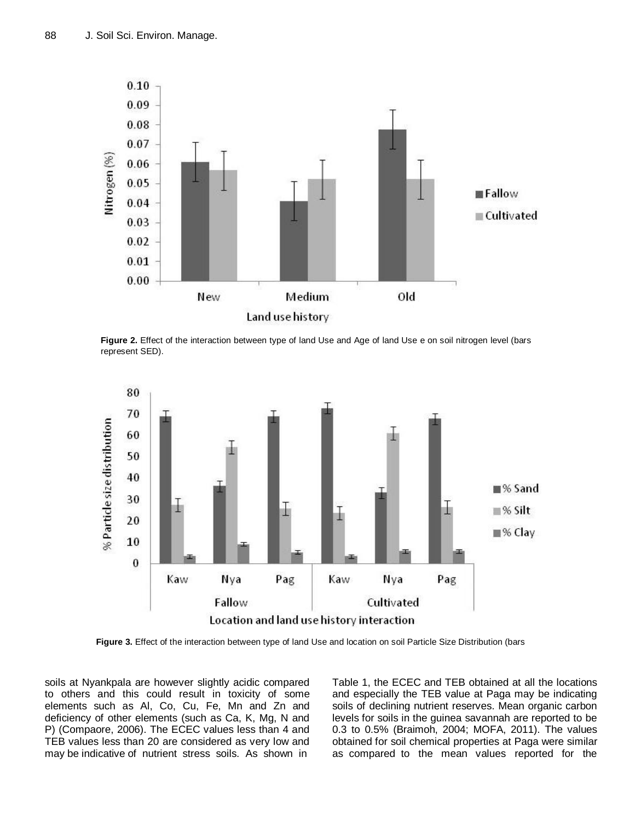

**Figure 2.** Effect of the interaction between type of land Use and Age of land Use e on soil nitrogen level (bars represent SED).



**Figure 3.** Effect of the interaction between type of land Use and location on soil Particle Size Distribution (bars

soils at Nyankpala are however slightly acidic compared to others and this could result in toxicity of some elements such as Al, Co, Cu, Fe, Mn and Zn and deficiency of other elements (such as Ca, K, Mg, N and P) (Compaore, 2006). The ECEC values less than 4 and TEB values less than 20 are considered as very low and may be indicative of nutrient stress soils. As shown in

Table 1, the ECEC and TEB obtained at all the locations and especially the TEB value at Paga may be indicating soils of declining nutrient reserves. Mean organic carbon levels for soils in the guinea savannah are reported to be 0.3 to 0.5% (Braimoh, 2004; MOFA, 2011). The values obtained for soil chemical properties at Paga were similar as compared to the mean values reported for the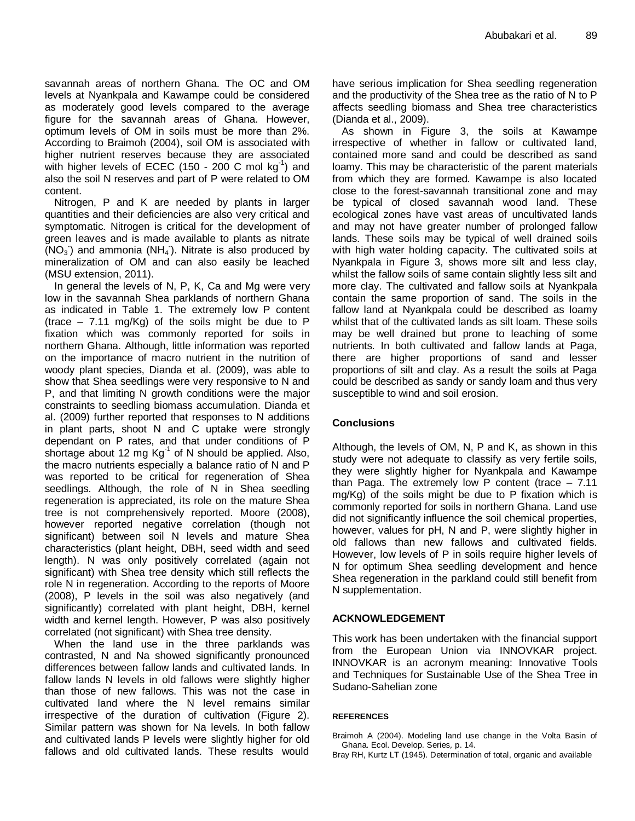savannah areas of northern Ghana. The OC and OM levels at Nyankpala and Kawampe could be considered as moderately good levels compared to the average figure for the savannah areas of Ghana. However, optimum levels of OM in soils must be more than 2%. According to Braimoh (2004), soil OM is associated with higher nutrient reserves because they are associated with higher levels of ECEC (150 - 200 C mol  $kg^{-1}$ ) and also the soil N reserves and part of P were related to OM content.

Nitrogen, P and K are needed by plants in larger quantities and their deficiencies are also very critical and symptomatic. Nitrogen is critical for the development of green leaves and is made available to plants as nitrate  $(NO<sub>3</sub>)$  and ammonia  $(NH<sub>4</sub>)$ . Nitrate is also produced by mineralization of OM and can also easily be leached (MSU extension, 2011).

In general the levels of N, P, K, Ca and Mg were very low in the savannah Shea parklands of northern Ghana as indicated in Table 1. The extremely low P content (trace  $-7.11 \text{ mg/Kg}$ ) of the soils might be due to P fixation which was commonly reported for soils in northern Ghana. Although, little information was reported on the importance of macro nutrient in the nutrition of woody plant species, Dianda et al. (2009), was able to show that Shea seedlings were very responsive to N and P, and that limiting N growth conditions were the major constraints to seedling biomass accumulation. Dianda et al. (2009) further reported that responses to N additions in plant parts, shoot N and C uptake were strongly dependant on P rates, and that under conditions of P shortage about 12 mg  $\text{Kg}^1$  of N should be applied. Also, the macro nutrients especially a balance ratio of N and P was reported to be critical for regeneration of Shea seedlings. Although, the role of N in Shea seedling regeneration is appreciated, its role on the mature Shea tree is not comprehensively reported. Moore (2008), however reported negative correlation (though not significant) between soil N levels and mature Shea characteristics (plant height, DBH, seed width and seed length). N was only positively correlated (again not significant) with Shea tree density which still reflects the role N in regeneration. According to the reports of Moore (2008), P levels in the soil was also negatively (and significantly) correlated with plant height, DBH, kernel width and kernel length. However, P was also positively correlated (not significant) with Shea tree density.

When the land use in the three parklands was contrasted, N and Na showed significantly pronounced differences between fallow lands and cultivated lands. In fallow lands N levels in old fallows were slightly higher than those of new fallows. This was not the case in cultivated land where the N level remains similar irrespective of the duration of cultivation (Figure 2). Similar pattern was shown for Na levels. In both fallow and cultivated lands P levels were slightly higher for old fallows and old cultivated lands. These results would

have serious implication for Shea seedling regeneration and the productivity of the Shea tree as the ratio of N to P affects seedling biomass and Shea tree characteristics (Dianda et al., 2009).

As shown in Figure 3, the soils at Kawampe irrespective of whether in fallow or cultivated land, contained more sand and could be described as sand loamy. This may be characteristic of the parent materials from which they are formed. Kawampe is also located close to the forest-savannah transitional zone and may be typical of closed savannah wood land. These ecological zones have vast areas of uncultivated lands and may not have greater number of prolonged fallow lands. These soils may be typical of well drained soils with high water holding capacity. The cultivated soils at Nyankpala in Figure 3, shows more silt and less clay, whilst the fallow soils of same contain slightly less silt and more clay. The cultivated and fallow soils at Nyankpala contain the same proportion of sand. The soils in the fallow land at Nyankpala could be described as loamy whilst that of the cultivated lands as silt loam. These soils may be well drained but prone to leaching of some nutrients. In both cultivated and fallow lands at Paga, there are higher proportions of sand and lesser proportions of silt and clay. As a result the soils at Paga could be described as sandy or sandy loam and thus very susceptible to wind and soil erosion.

# **Conclusions**

Although, the levels of OM, N, P and K, as shown in this study were not adequate to classify as very fertile soils, they were slightly higher for Nyankpala and Kawampe than Paga. The extremely low P content (trace  $-7.11$ mg/Kg) of the soils might be due to P fixation which is commonly reported for soils in northern Ghana. Land use did not significantly influence the soil chemical properties, however, values for pH, N and P, were slightly higher in old fallows than new fallows and cultivated fields. However, low levels of P in soils require higher levels of N for optimum Shea seedling development and hence Shea regeneration in the parkland could still benefit from N supplementation.

# **ACKNOWLEDGEMENT**

This work has been undertaken with the financial support from the European Union via INNOVKAR project. INNOVKAR is an acronym meaning: Innovative Tools and Techniques for Sustainable Use of the Shea Tree in Sudano-Sahelian zone

## **REFERENCES**

Braimoh A (2004). Modeling land use change in the Volta Basin of Ghana. Ecol. Develop. Series*,* p. 14.

Bray RH, Kurtz LT (1945). Determination of total, organic and available